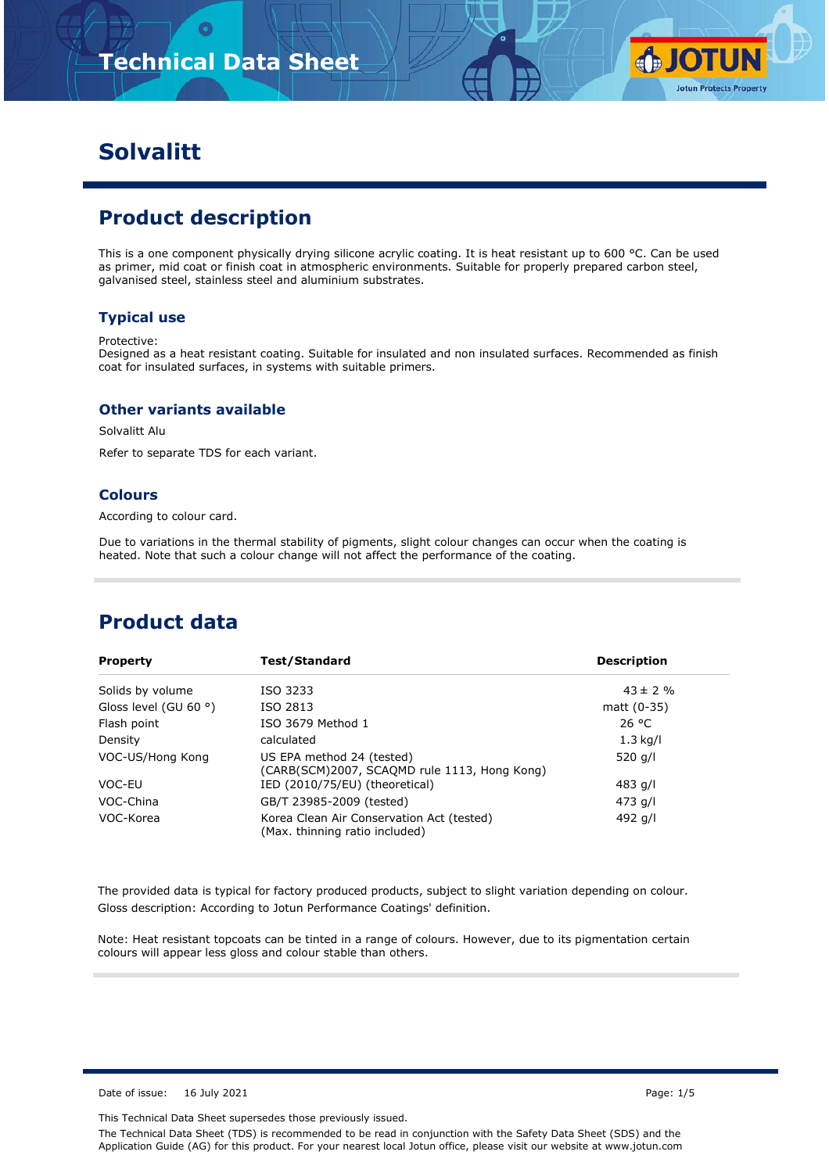

# **Solvalitt**

## **Product description**

This is a one component physically drying silicone acrylic coating. It is heat resistant up to 600 °C. Can be used as primer, mid coat or finish coat in atmospheric environments. Suitable for properly prepared carbon steel, galvanised steel, stainless steel and aluminium substrates.

#### **Typical use**

#### Protective:

Designed as a heat resistant coating. Suitable for insulated and non insulated surfaces. Recommended as finish coat for insulated surfaces, in systems with suitable primers.

#### **Other variants available**

Solvalitt Alu

Refer to separate TDS for each variant.

#### **Colours**

According to colour card.

Due to variations in the thermal stability of pigments, slight colour changes can occur when the coating is heated. Note that such a colour change will not affect the performance of the coating.

### **Product data**

| <b>Property</b>                | Test/Standard                                                               | <b>Description</b> |
|--------------------------------|-----------------------------------------------------------------------------|--------------------|
| Solids by volume               | ISO 3233                                                                    | $43 \pm 2 \%$      |
| Gloss level (GU 60 $\degree$ ) | ISO 2813                                                                    | matt $(0-35)$      |
| Flash point                    | ISO 3679 Method 1                                                           | 26 °C              |
| Density                        | calculated                                                                  | $1.3$ kg/l         |
| VOC-US/Hong Kong               | US EPA method 24 (tested)<br>(CARB(SCM)2007, SCAQMD rule 1113, Hong Kong)   | 520 g/l            |
| VOC-EU                         | IED (2010/75/EU) (theoretical)                                              | 483 g/l            |
| VOC-China                      | GB/T 23985-2009 (tested)                                                    | 473 g/l            |
| VOC-Korea                      | Korea Clean Air Conservation Act (tested)<br>(Max. thinning ratio included) | 492 g/l            |

The provided data is typical for factory produced products, subject to slight variation depending on colour. Gloss description: According to Jotun Performance Coatings' definition.

Note: Heat resistant topcoats can be tinted in a range of colours. However, due to its pigmentation certain colours will appear less gloss and colour stable than others.

Date of issue: 16 July 2021 **Page: 1/5** 

This Technical Data Sheet supersedes those previously issued.

The Technical Data Sheet (TDS) is recommended to be read in conjunction with the Safety Data Sheet (SDS) and the Application Guide (AG) for this product. For your nearest local Jotun office, please visit our website at www.jotun.com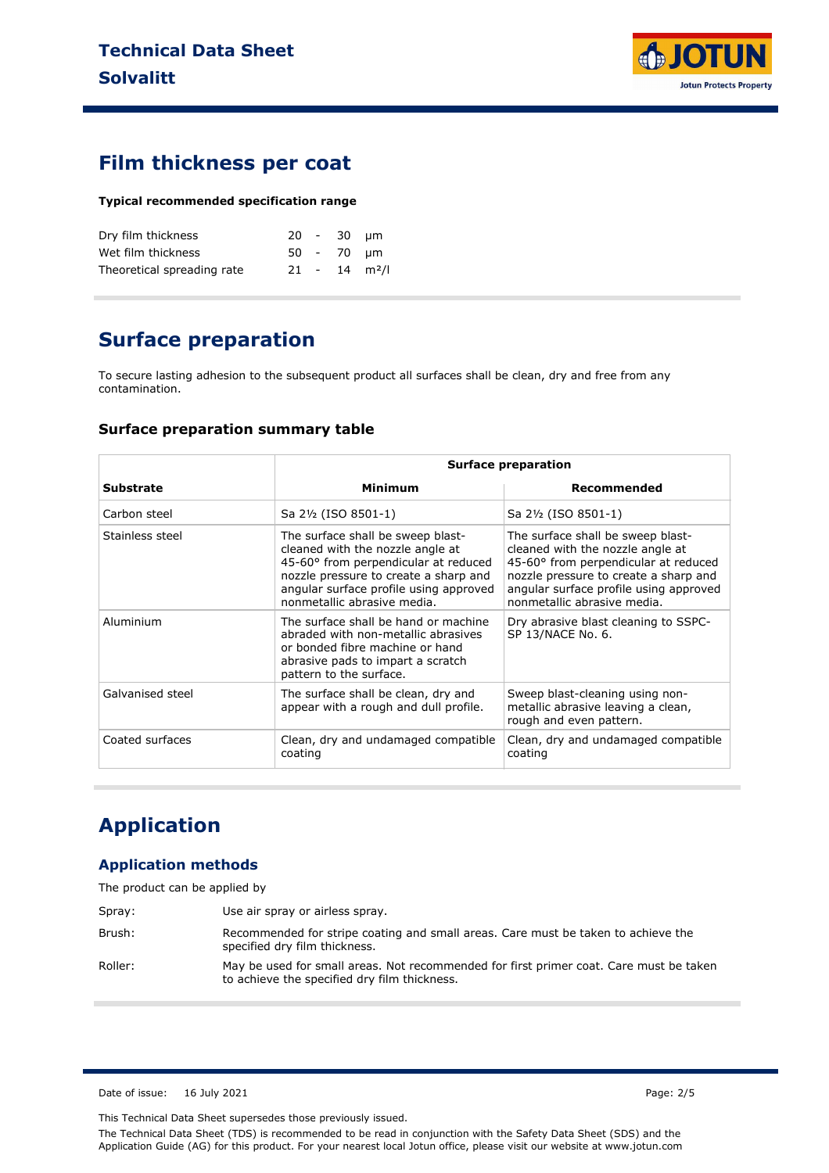

### **Film thickness per coat**

#### **Typical recommended specification range**

| Dry film thickness         |  | 20 - 30 um |                             |
|----------------------------|--|------------|-----------------------------|
| Wet film thickness         |  | 50 - 70 um |                             |
| Theoretical spreading rate |  |            | $21 - 14$ m <sup>2</sup> /l |

## **Surface preparation**

To secure lasting adhesion to the subsequent product all surfaces shall be clean, dry and free from any contamination.

#### **Surface preparation summary table**

|                  | <b>Surface preparation</b>                                                                                                                                                                                                      |                                                                                                                                                                                                                                 |  |  |
|------------------|---------------------------------------------------------------------------------------------------------------------------------------------------------------------------------------------------------------------------------|---------------------------------------------------------------------------------------------------------------------------------------------------------------------------------------------------------------------------------|--|--|
| <b>Substrate</b> | Minimum                                                                                                                                                                                                                         | Recommended                                                                                                                                                                                                                     |  |  |
| Carbon steel     | Sa 2½ (ISO 8501-1)                                                                                                                                                                                                              | Sa 2½ (ISO 8501-1)                                                                                                                                                                                                              |  |  |
| Stainless steel  | The surface shall be sweep blast-<br>cleaned with the nozzle angle at<br>45-60° from perpendicular at reduced<br>nozzle pressure to create a sharp and<br>angular surface profile using approved<br>nonmetallic abrasive media. | The surface shall be sweep blast-<br>cleaned with the nozzle angle at<br>45-60° from perpendicular at reduced<br>nozzle pressure to create a sharp and<br>angular surface profile using approved<br>nonmetallic abrasive media. |  |  |
| Aluminium        | The surface shall be hand or machine<br>abraded with non-metallic abrasives<br>or bonded fibre machine or hand<br>abrasive pads to impart a scratch<br>pattern to the surface.                                                  | Dry abrasive blast cleaning to SSPC-<br>SP 13/NACE No. 6.                                                                                                                                                                       |  |  |
| Galvanised steel | The surface shall be clean, dry and<br>appear with a rough and dull profile.                                                                                                                                                    | Sweep blast-cleaning using non-<br>metallic abrasive leaving a clean,<br>rough and even pattern.                                                                                                                                |  |  |
| Coated surfaces  | Clean, dry and undamaged compatible<br>coating                                                                                                                                                                                  | Clean, dry and undamaged compatible<br>coating                                                                                                                                                                                  |  |  |

# **Application**

### **Application methods**

| The product can be applied by |  |  |
|-------------------------------|--|--|
|-------------------------------|--|--|

| Spray:  | Use air spray or airless spray.                                                                                                        |
|---------|----------------------------------------------------------------------------------------------------------------------------------------|
| Brush:  | Recommended for stripe coating and small areas. Care must be taken to achieve the<br>specified dry film thickness.                     |
| Roller: | May be used for small areas. Not recommended for first primer coat. Care must be taken<br>to achieve the specified dry film thickness. |

Date of issue: 16 July 2021 **Page: 2/5** 

This Technical Data Sheet supersedes those previously issued.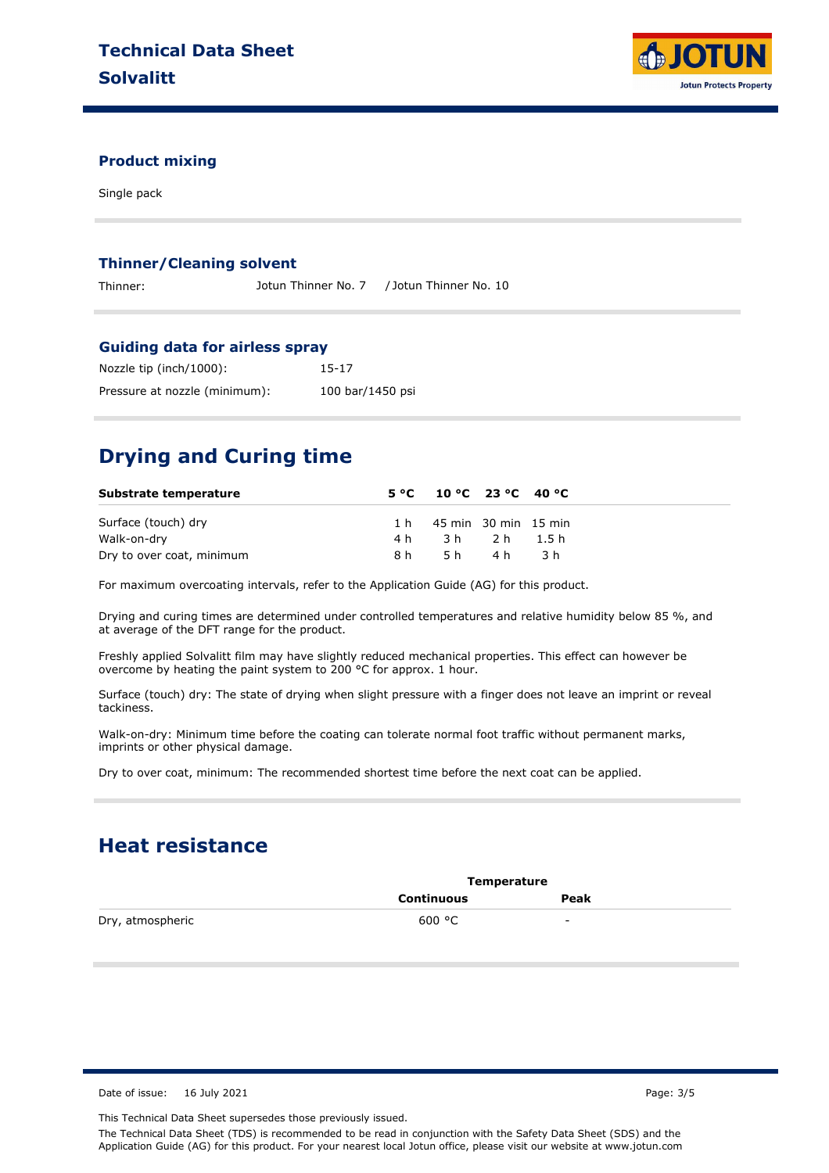

### **Product mixing**

Single pack

#### **Thinner/Cleaning solvent**

Thinner: Jotun Thinner No. 7 / Jotun Thinner No. 10

#### **Guiding data for airless spray**

| Nozzle tip (inch/1000):       | 15-17            |
|-------------------------------|------------------|
| Pressure at nozzle (minimum): | 100 bar/1450 psi |

# **Drying and Curing time**

| Substrate temperature     |     | $5^{\circ}$ C $10^{\circ}$ C $23^{\circ}$ C $40^{\circ}$ C |       |     |
|---------------------------|-----|------------------------------------------------------------|-------|-----|
| Surface (touch) dry       |     | 1 h 45 min 30 min 15 min                                   |       |     |
| Walk-on-dry               | 4 h | 3h 2h 1.5h                                                 |       |     |
| Dry to over coat, minimum | 8 h |                                                            | 5h 4h | 3 h |

For maximum overcoating intervals, refer to the Application Guide (AG) for this product.

Drying and curing times are determined under controlled temperatures and relative humidity below 85 %, and at average of the DFT range for the product.

Freshly applied Solvalitt film may have slightly reduced mechanical properties. This effect can however be overcome by heating the paint system to 200<sup>'o</sup>C for approx. 1 hour.

Surface (touch) dry: The state of drying when slight pressure with a finger does not leave an imprint or reveal tackiness.

Walk-on-dry: Minimum time before the coating can tolerate normal foot traffic without permanent marks, imprints or other physical damage.

Dry to over coat, minimum: The recommended shortest time before the next coat can be applied.

### **Heat resistance**

|                  | Temperature |      |  |
|------------------|-------------|------|--|
|                  | Continuous  | Peak |  |
| Dry, atmospheric | 600 °C      | -    |  |

Date of issue: 16 July 2021 **Page: 3/5** 

This Technical Data Sheet supersedes those previously issued.

The Technical Data Sheet (TDS) is recommended to be read in conjunction with the Safety Data Sheet (SDS) and the Application Guide (AG) for this product. For your nearest local Jotun office, please visit our website at www.jotun.com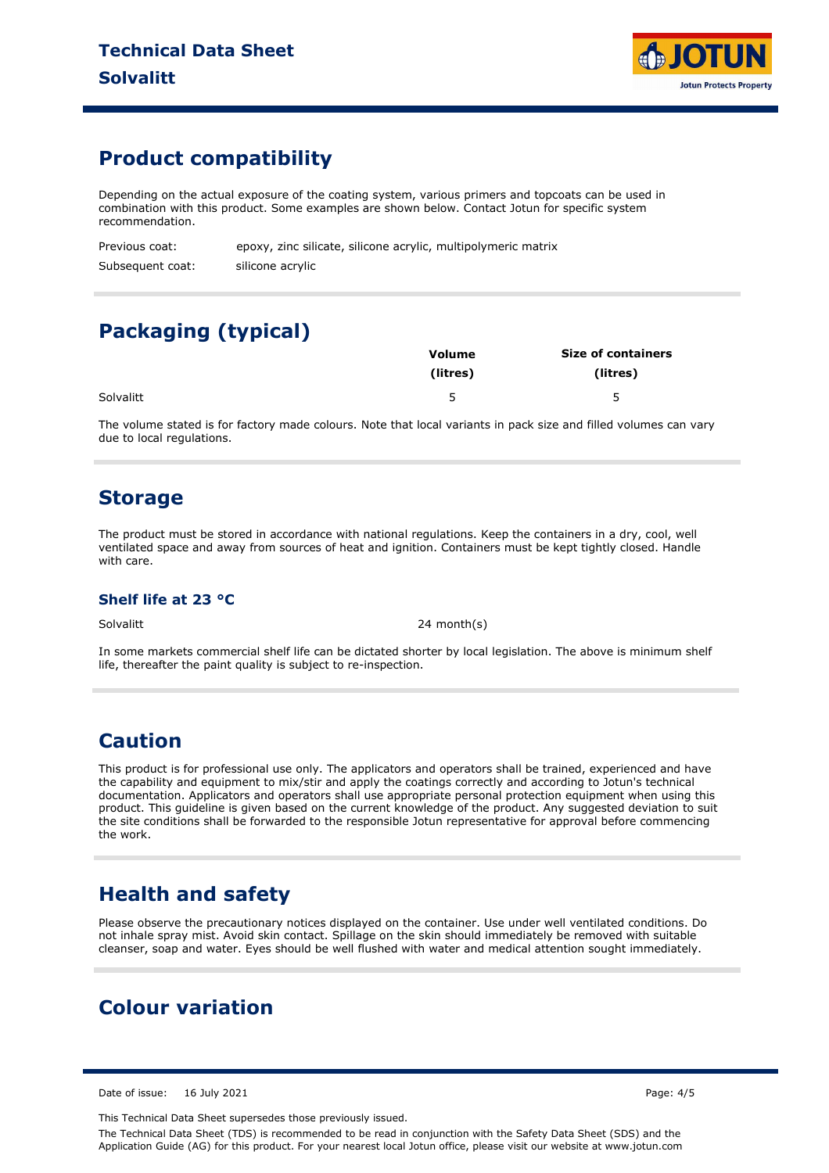

## **Product compatibility**

Depending on the actual exposure of the coating system, various primers and topcoats can be used in combination with this product. Some examples are shown below. Contact Jotun for specific system recommendation.

Previous coat: Subsequent coat: epoxy, zinc silicate, silicone acrylic, multipolymeric matrix silicone acrylic

# **Packaging (typical)**

|           | Volume   | <b>Size of containers</b> |  |
|-----------|----------|---------------------------|--|
|           | (litres) | (litres)                  |  |
| Solvalitt | ب        | -                         |  |

The volume stated is for factory made colours. Note that local variants in pack size and filled volumes can vary due to local regulations.

### **Storage**

The product must be stored in accordance with national regulations. Keep the containers in a dry, cool, well ventilated space and away from sources of heat and ignition. Containers must be kept tightly closed. Handle with care.

### **Shelf life at 23 °C**

Solvalitt 24 month(s)

In some markets commercial shelf life can be dictated shorter by local legislation. The above is minimum shelf life, thereafter the paint quality is subject to re-inspection.

## **Caution**

This product is for professional use only. The applicators and operators shall be trained, experienced and have the capability and equipment to mix/stir and apply the coatings correctly and according to Jotun's technical documentation. Applicators and operators shall use appropriate personal protection equipment when using this product. This guideline is given based on the current knowledge of the product. Any suggested deviation to suit the site conditions shall be forwarded to the responsible Jotun representative for approval before commencing the work.

## **Health and safety**

Please observe the precautionary notices displayed on the container. Use under well ventilated conditions. Do not inhale spray mist. Avoid skin contact. Spillage on the skin should immediately be removed with suitable cleanser, soap and water. Eyes should be well flushed with water and medical attention sought immediately.

# **Colour variation**

Date of issue: 16 July 2021 **Page: 4/5** 

This Technical Data Sheet supersedes those previously issued.

The Technical Data Sheet (TDS) is recommended to be read in conjunction with the Safety Data Sheet (SDS) and the Application Guide (AG) for this product. For your nearest local Jotun office, please visit our website at www.jotun.com